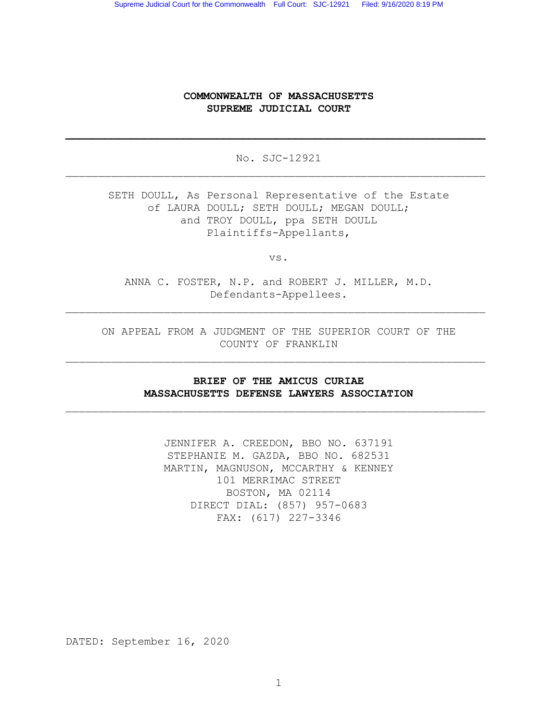### COMMONWEALTH OF MASSACHUSETTS SUPREME JUDICIAL COURT

No. SJC-12921  $\_$  , and the set of the set of the set of the set of the set of the set of the set of the set of the set of the set of the set of the set of the set of the set of the set of the set of the set of the set of the set of th

\_\_\_\_\_\_\_\_\_\_\_\_\_\_\_\_\_\_\_\_\_\_\_\_\_\_\_\_\_\_\_\_\_\_\_\_\_\_\_\_\_\_\_\_\_\_\_\_\_\_\_\_\_\_\_\_\_\_\_\_\_\_\_\_

SETH DOULL, As Personal Representative of the Estate of LAURA DOULL; SETH DOULL; MEGAN DOULL; and TROY DOULL, ppa SETH DOULL Plaintiffs-Appellants,

vs.

ANNA C. FOSTER, N.P. and ROBERT J. MILLER, M.D. Defendants-Appellees.

 $\_$  , and the set of the set of the set of the set of the set of the set of the set of the set of the set of the set of the set of the set of the set of the set of the set of the set of the set of the set of the set of th

ON APPEAL FROM A JUDGMENT OF THE SUPERIOR COURT OF THE COUNTY OF FRANKLIN

 $\_$  , and the set of the set of the set of the set of the set of the set of the set of the set of the set of the set of the set of the set of the set of the set of the set of the set of the set of the set of the set of th

# BRIEF OF THE AMICUS CURIAE MASSACHUSETTS DEFENSE LAWYERS ASSOCIATION

 $\_$  , and the set of the set of the set of the set of the set of the set of the set of the set of the set of the set of the set of the set of the set of the set of the set of the set of the set of the set of the set of th

JENNIFER A. CREEDON, BBO NO. 637191 STEPHANIE M. GAZDA, BBO NO. 682531 MARTIN, MAGNUSON, MCCARTHY & KENNEY 101 MERRIMAC STREET BOSTON, MA 02114 DIRECT DIAL: (857) 957-0683 FAX: (617) 227-3346

DATED: September 16, 2020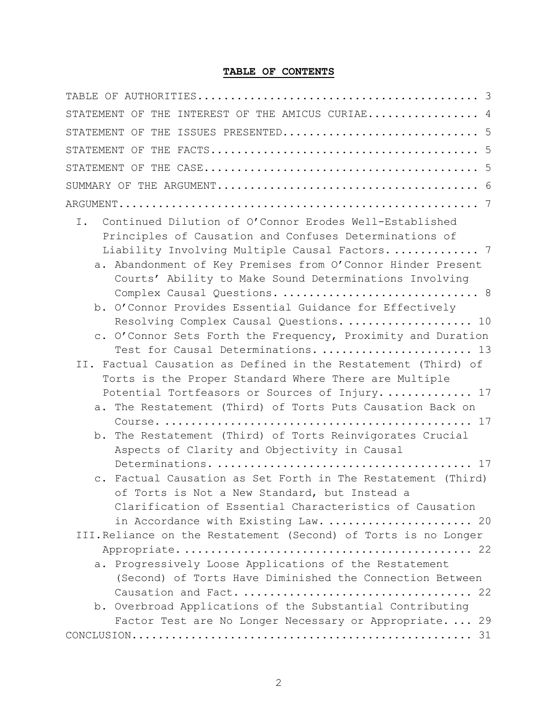# TABLE OF CONTENTS

| STATEMENT OF THE INTEREST OF THE AMICUS CURIAE 4                            |
|-----------------------------------------------------------------------------|
|                                                                             |
|                                                                             |
|                                                                             |
|                                                                             |
|                                                                             |
| Continued Dilution of O'Connor Erodes Well-Established<br>Ι.                |
| Principles of Causation and Confuses Determinations of                      |
| Liability Involving Multiple Causal Factors 7                               |
| a. Abandonment of Key Premises from O'Connor Hinder Present                 |
| Courts' Ability to Make Sound Determinations Involving                      |
| Complex Causal Questions.  8                                                |
| b. O'Connor Provides Essential Guidance for Effectively                     |
| Resolving Complex Causal Questions.  10                                     |
| c. O'Connor Sets Forth the Frequency, Proximity and Duration                |
| Test for Causal Determinations.  13                                         |
| II. Factual Causation as Defined in the Restatement (Third) of              |
| Torts is the Proper Standard Where There are Multiple                       |
| Potential Tortfeasors or Sources of Injury 17                               |
| a. The Restatement (Third) of Torts Puts Causation Back on                  |
|                                                                             |
| The Restatement (Third) of Torts Reinvigorates Crucial<br>b.                |
| Aspects of Clarity and Objectivity in Causal                                |
|                                                                             |
| Factual Causation as Set Forth in The Restatement (Third)<br>$\mathbb{C}$ . |
| of Torts is Not a New Standard, but Instead a                               |
| Clarification of Essential Characteristics of Causation                     |
| in Accordance with Existing Law.  20                                        |
| III. Reliance on the Restatement (Second) of Torts is no Longer             |
|                                                                             |
| a. Progressively Loose Applications of the Restatement                      |
| (Second) of Torts Have Diminished the Connection Between                    |
|                                                                             |
| b. Overbroad Applications of the Substantial Contributing                   |
| Factor Test are No Longer Necessary or Appropriate.  29                     |
|                                                                             |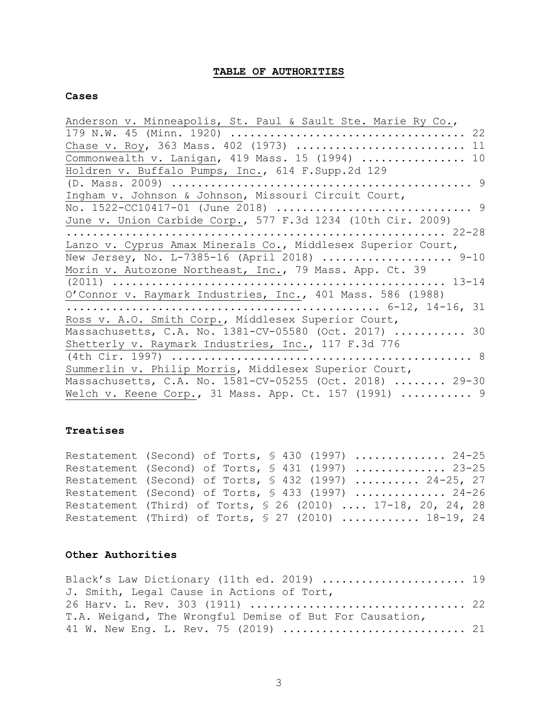### TABLE OF AUTHORITIES

#### Cases

| Anderson v. Minneapolis, St. Paul & Sault Ste. Marie Ry Co., |
|--------------------------------------------------------------|
|                                                              |
| Chase v. Roy, 363 Mass. 402 (1973)  11                       |
| Commonwealth v. Lanigan, 419 Mass. 15 (1994)  10             |
| Holdren v. Buffalo Pumps, Inc., 614 F.Supp.2d 129            |
|                                                              |
| Ingham v. Johnson & Johnson, Missouri Circuit Court,         |
|                                                              |
| June v. Union Carbide Corp., 577 F.3d 1234 (10th Cir. 2009)  |
|                                                              |
| Lanzo v. Cyprus Amax Minerals Co., Middlesex Superior Court, |
| New Jersey, No. L-7385-16 (April 2018)  9-10                 |
| Morin v. Autozone Northeast, Inc., 79 Mass. App. Ct. 39      |
|                                                              |
| O'Connor v. Raymark Industries, Inc., 401 Mass. 586 (1988)   |
|                                                              |
| Ross v. A.O. Smith Corp., Middlesex Superior Court,          |
| Massachusetts, C.A. No. 1381-CV-05580 (Oct. 2017)  30        |
| Shetterly v. Raymark Industries, Inc., 117 F.3d 776          |
|                                                              |
| Summerlin v. Philip Morris, Middlesex Superior Court,        |
| Massachusetts, C.A. No. 1581-CV-05255 (Oct. 2018)  29-30     |
| Welch v. Keene Corp., 31 Mass. App. Ct. 157 (1991)  9        |

### Treatises

Restatement (Second) of Torts,  $\frac{1}{2}$  430 (1997) ................ 24-25 Restatement (Second) of Torts,  $\S$  431 (1997) ............... 23-25 Restatement (Second) of Torts, § 432 (1997) ......... 24-25, 27 Restatement (Second) of Torts,  $\S$  433 (1997) ............... 24-26 Restatement (Third) of Torts, § 26 (2010) .... 17-18, 20, 24, 28 Restatement (Third) of Torts,  $\S 27$  (2010) ............ 18-19, 24

### Other Authorities

| Black's Law Dictionary (11th ed. 2019)  19              |  |
|---------------------------------------------------------|--|
| J. Smith, Legal Cause in Actions of Tort,               |  |
|                                                         |  |
| T.A. Weigand, The Wrongful Demise of But For Causation, |  |
|                                                         |  |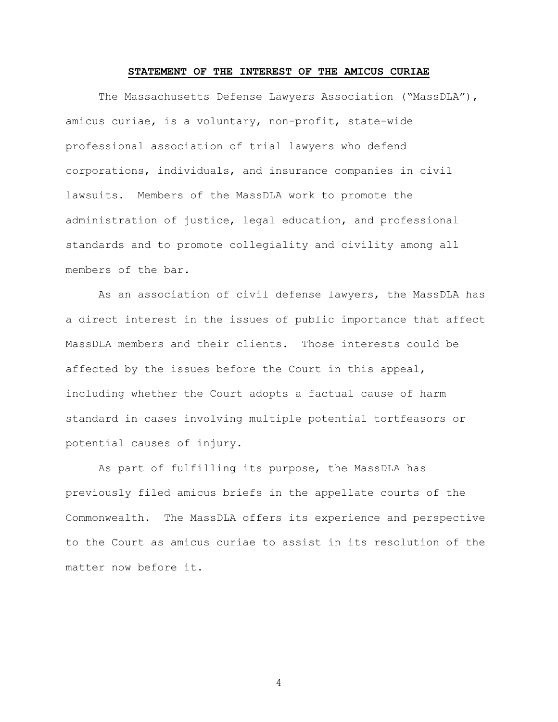## STATEMENT OF THE INTEREST OF THE AMICUS CURIAE

The Massachusetts Defense Lawyers Association ("MassDLA"), amicus curiae, is a voluntary, non-profit, state-wide professional association of trial lawyers who defend corporations, individuals, and insurance companies in civil lawsuits. Members of the MassDLA work to promote the administration of justice, legal education, and professional standards and to promote collegiality and civility among all members of the bar.

As an association of civil defense lawyers, the MassDLA has a direct interest in the issues of public importance that affect MassDLA members and their clients. Those interests could be affected by the issues before the Court in this appeal, including whether the Court adopts a factual cause of harm standard in cases involving multiple potential tortfeasors or potential causes of injury.

As part of fulfilling its purpose, the MassDLA has previously filed amicus briefs in the appellate courts of the Commonwealth. The MassDLA offers its experience and perspective to the Court as amicus curiae to assist in its resolution of the matter now before it.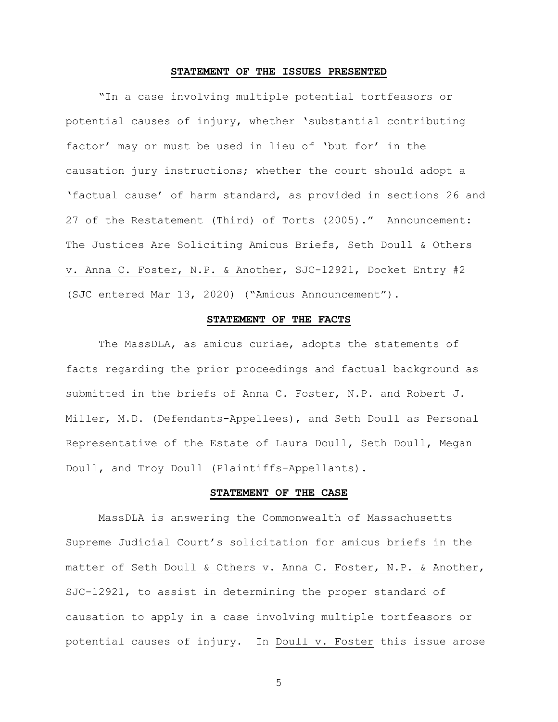#### STATEMENT OF THE ISSUES PRESENTED

"In a case involving multiple potential tortfeasors or potential causes of injury, whether 'substantial contributing factor' may or must be used in lieu of 'but for' in the causation jury instructions; whether the court should adopt a 'factual cause' of harm standard, as provided in sections 26 and 27 of the Restatement (Third) of Torts (2005)." Announcement: The Justices Are Soliciting Amicus Briefs, Seth Doull & Others v. Anna C. Foster, N.P. & Another, SJC-12921, Docket Entry #2 (SJC entered Mar 13, 2020) ("Amicus Announcement").

#### STATEMENT OF THE FACTS

The MassDLA, as amicus curiae, adopts the statements of facts regarding the prior proceedings and factual background as submitted in the briefs of Anna C. Foster, N.P. and Robert J. Miller, M.D. (Defendants-Appellees), and Seth Doull as Personal Representative of the Estate of Laura Doull, Seth Doull, Megan Doull, and Troy Doull (Plaintiffs-Appellants).

#### STATEMENT OF THE CASE

MassDLA is answering the Commonwealth of Massachusetts Supreme Judicial Court's solicitation for amicus briefs in the matter of Seth Doull & Others v. Anna C. Foster, N.P. & Another, SJC-12921, to assist in determining the proper standard of causation to apply in a case involving multiple tortfeasors or potential causes of injury. In Doull v. Foster this issue arose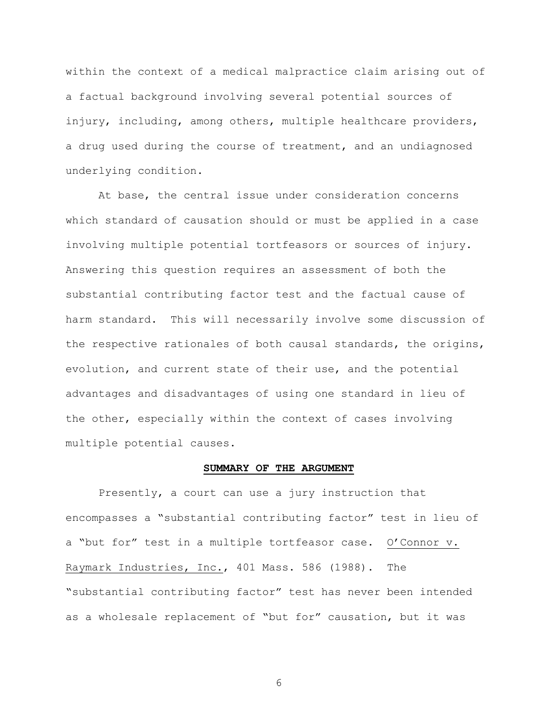within the context of a medical malpractice claim arising out of a factual background involving several potential sources of injury, including, among others, multiple healthcare providers, a drug used during the course of treatment, and an undiagnosed underlying condition.

At base, the central issue under consideration concerns which standard of causation should or must be applied in a case involving multiple potential tortfeasors or sources of injury. Answering this question requires an assessment of both the substantial contributing factor test and the factual cause of harm standard. This will necessarily involve some discussion of the respective rationales of both causal standards, the origins, evolution, and current state of their use, and the potential advantages and disadvantages of using one standard in lieu of the other, especially within the context of cases involving multiple potential causes.

### SUMMARY OF THE ARGUMENT

Presently, a court can use a jury instruction that encompasses a "substantial contributing factor" test in lieu of a "but for" test in a multiple tortfeasor case. O'Connor v. Raymark Industries, Inc., 401 Mass. 586 (1988). The "substantial contributing factor" test has never been intended as a wholesale replacement of "but for" causation, but it was

 $6\,$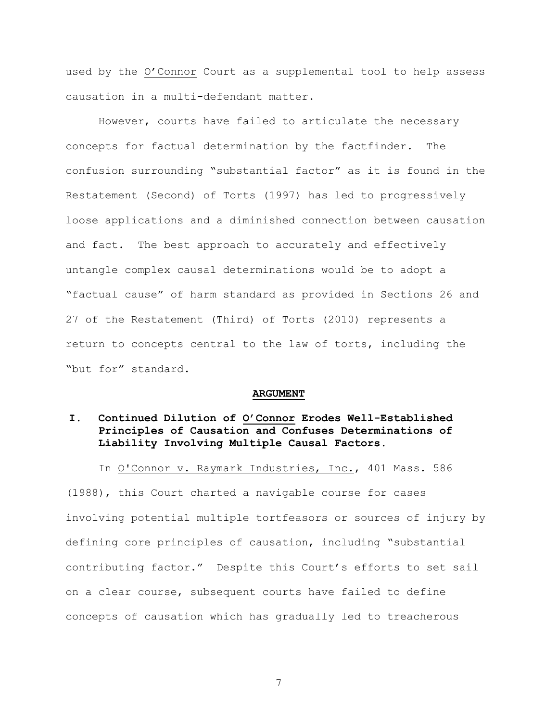used by the O'Connor Court as a supplemental tool to help assess causation in a multi-defendant matter.

However, courts have failed to articulate the necessary concepts for factual determination by the factfinder. The confusion surrounding "substantial factor" as it is found in the Restatement (Second) of Torts (1997) has led to progressively loose applications and a diminished connection between causation and fact. The best approach to accurately and effectively untangle complex causal determinations would be to adopt a "factual cause" of harm standard as provided in Sections 26 and 27 of the Restatement (Third) of Torts (2010) represents a return to concepts central to the law of torts, including the "but for" standard.

#### **ARGUMENT**

#### I. Continued Dilution of O'Connor Erodes Well-Established Principles of Causation and Confuses Determinations of Liability Involving Multiple Causal Factors.

In O'Connor v. Raymark Industries, Inc., 401 Mass. 586

(1988), this Court charted a navigable course for cases involving potential multiple tortfeasors or sources of injury by defining core principles of causation, including "substantial contributing factor." Despite this Court's efforts to set sail on a clear course, subsequent courts have failed to define concepts of causation which has gradually led to treacherous

 $7\overline{ }$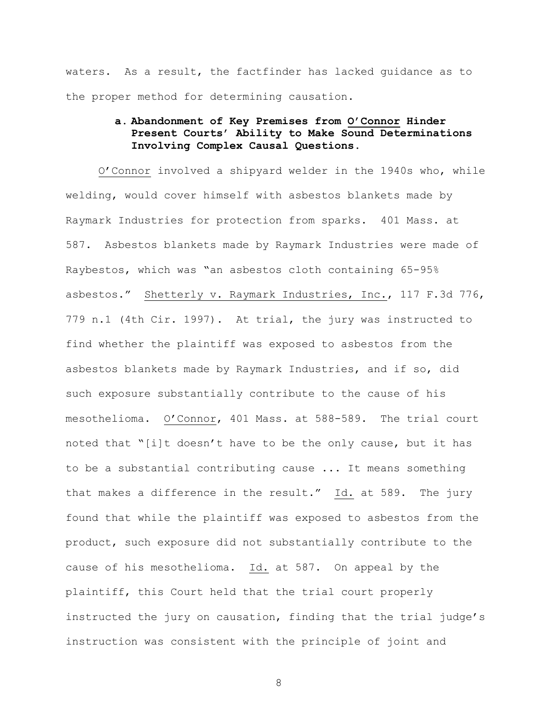waters. As a result, the factfinder has lacked quidance as to the proper method for determining causation.

# a. Abandonment of Key Premises from O'Connor Hinder Present Courts' Ability to Make Sound Determinations Involving Complex Causal Questions.

O'Connor involved a shipyard welder in the 1940s who, while welding, would cover himself with asbestos blankets made by Raymark Industries for protection from sparks. 401 Mass. at 587. Asbestos blankets made by Raymark Industries were made of Raybestos, which was "an asbestos cloth containing 65-95% asbestos." Shetterly v. Raymark Industries, Inc., 117 F.3d 776, 779 n.1 (4th Cir. 1997). At trial, the jury was instructed to find whether the plaintiff was exposed to asbestos from the asbestos blankets made by Raymark Industries, and if so, did such exposure substantially contribute to the cause of his mesothelioma. O'Connor, 401 Mass. at 588-589. The trial court noted that "[i]t doesn't have to be the only cause, but it has to be a substantial contributing cause ... It means something that makes a difference in the result." Id. at 589. The jury found that while the plaintiff was exposed to asbestos from the product, such exposure did not substantially contribute to the cause of his mesothelioma. Id. at 587. On appeal by the plaintiff, this Court held that the trial court properly instructed the jury on causation, finding that the trial judge's instruction was consistent with the principle of joint and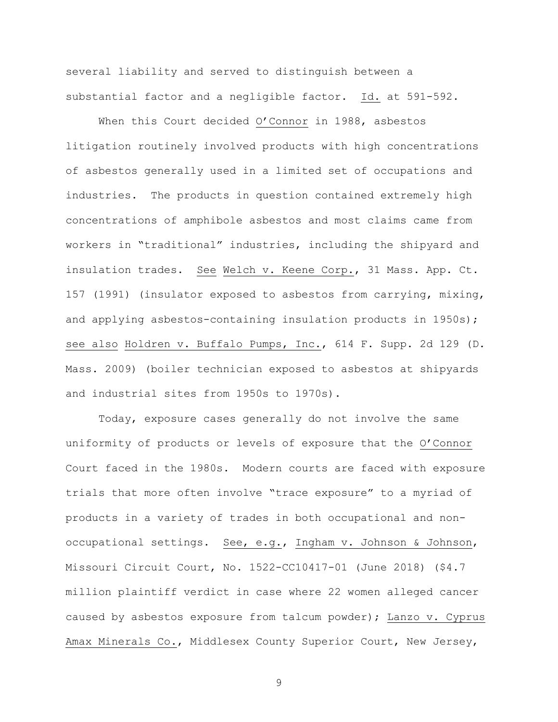several liability and served to distinguish between a substantial factor and a negligible factor. Id. at 591-592.

When this Court decided O'Connor in 1988, asbestos litigation routinely involved products with high concentrations of asbestos generally used in a limited set of occupations and industries. The products in question contained extremely high concentrations of amphibole asbestos and most claims came from workers in "traditional" industries, including the shipyard and insulation trades. See Welch v. Keene Corp., 31 Mass. App. Ct. 157 (1991) (insulator exposed to asbestos from carrying, mixing, and applying asbestos-containing insulation products in 1950s); see also Holdren v. Buffalo Pumps, Inc., 614 F. Supp. 2d 129 (D. Mass. 2009) (boiler technician exposed to asbestos at shipyards and industrial sites from 1950s to 1970s).

Today, exposure cases generally do not involve the same uniformity of products or levels of exposure that the O'Connor Court faced in the 1980s. Modern courts are faced with exposure trials that more often involve "trace exposure" to a myriad of products in a variety of trades in both occupational and nonoccupational settings. See, e.g., Ingham v. Johnson & Johnson, Missouri Circuit Court, No. 1522-CC10417-01 (June 2018) (\$4.7 million plaintiff verdict in case where 22 women alleged cancer caused by asbestos exposure from talcum powder); Lanzo v. Cyprus Amax Minerals Co., Middlesex County Superior Court, New Jersey,

 $\mathcal{G}$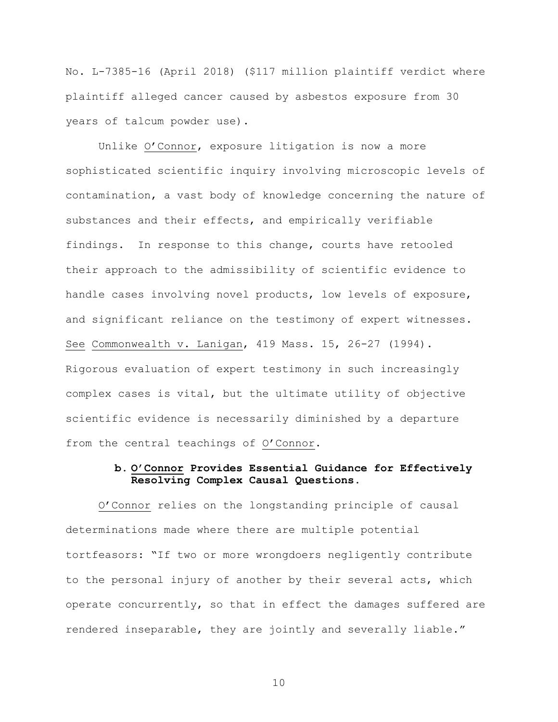No. L-7385-16 (April 2018) (\$117 million plaintiff verdict where plaintiff alleged cancer caused by asbestos exposure from 30 years of talcum powder use).

Unlike O'Connor, exposure litigation is now a more sophisticated scientific inquiry involving microscopic levels of contamination, a vast body of knowledge concerning the nature of substances and their effects, and empirically verifiable findings. In response to this change, courts have retooled their approach to the admissibility of scientific evidence to handle cases involving novel products, low levels of exposure, and significant reliance on the testimony of expert witnesses. See Commonwealth v. Lanigan, 419 Mass. 15, 26-27 (1994). Rigorous evaluation of expert testimony in such increasingly complex cases is vital, but the ultimate utility of objective scientific evidence is necessarily diminished by a departure from the central teachings of O'Connor.

# b. O'Connor Provides Essential Guidance for Effectively Resolving Complex Causal Questions.

O'Connor relies on the longstanding principle of causal determinations made where there are multiple potential tortfeasors: "If two or more wrongdoers negligently contribute to the personal injury of another by their several acts, which operate concurrently, so that in effect the damages suffered are rendered inseparable, they are jointly and severally liable."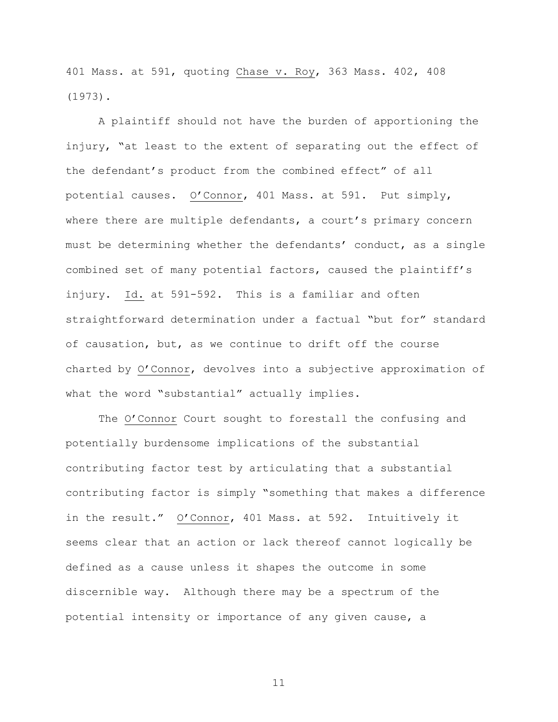401 Mass. at 591, quoting Chase v. Roy, 363 Mass. 402, 408 (1973).

A plaintiff should not have the burden of apportioning the injury, "at least to the extent of separating out the effect of the defendant's product from the combined effect" of all potential causes. O'Connor, 401 Mass. at 591. Put simply, where there are multiple defendants, a court's primary concern must be determining whether the defendants' conduct, as a single combined set of many potential factors, caused the plaintiff's injury. Id. at 591-592. This is a familiar and often straightforward determination under a factual "but for" standard of causation, but, as we continue to drift off the course charted by O'Connor, devolves into a subjective approximation of what the word "substantial" actually implies.

The O'Connor Court sought to forestall the confusing and potentially burdensome implications of the substantial contributing factor test by articulating that a substantial contributing factor is simply "something that makes a difference in the result." O'Connor, 401 Mass. at 592. Intuitively it seems clear that an action or lack thereof cannot logically be defined as a cause unless it shapes the outcome in some discernible way. Although there may be a spectrum of the potential intensity or importance of any given cause, a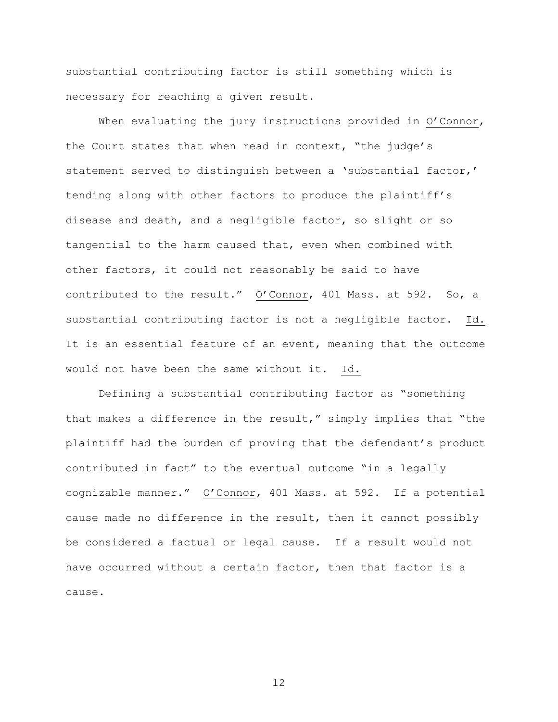substantial contributing factor is still something which is necessary for reaching a given result.

When evaluating the jury instructions provided in  $O'$  Connor, the Court states that when read in context, "the judge's statement served to distinquish between a 'substantial factor,' tending along with other factors to produce the plaintiff's disease and death, and a negligible factor, so slight or so tangential to the harm caused that, even when combined with other factors, it could not reasonably be said to have contributed to the result." O'Connor, 401 Mass. at 592. So, a substantial contributing factor is not a negligible factor. Id. It is an essential feature of an event, meaning that the outcome would not have been the same without it. Id.

Defining a substantial contributing factor as "something that makes a difference in the result," simply implies that "the plaintiff had the burden of proving that the defendant's product contributed in fact" to the eventual outcome "in a legally cognizable manner." O'Connor, 401 Mass. at 592. If a potential cause made no difference in the result, then it cannot possibly be considered a factual or legal cause. If a result would not have occurred without a certain factor, then that factor is a cause.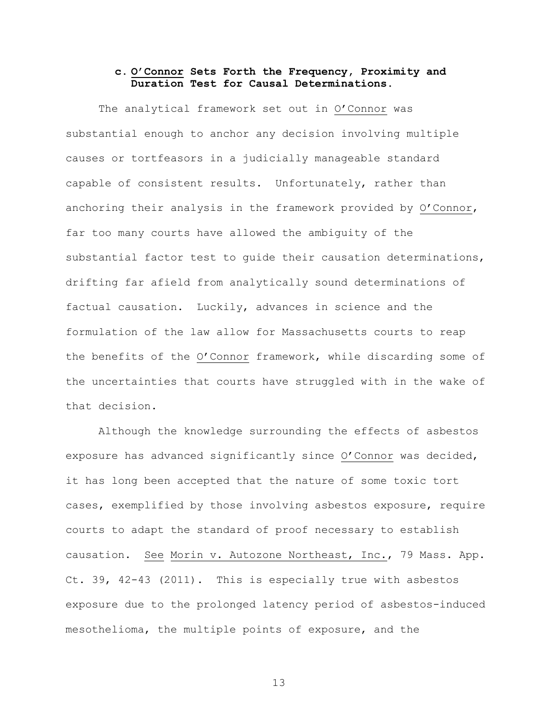### c. O'Connor Sets Forth the Frequency, Proximity and Duration Test for Causal Determinations.

The analytical framework set out in O'Connor was substantial enough to anchor any decision involving multiple causes or tortfeasors in a judicially manageable standard capable of consistent results. Unfortunately, rather than anchoring their analysis in the framework provided by O'Connor, far too many courts have allowed the ambiquity of the substantial factor test to quide their causation determinations, drifting far afield from analytically sound determinations of factual causation. Luckily, advances in science and the formulation of the law allow for Massachusetts courts to reap the benefits of the O'Connor framework, while discarding some of the uncertainties that courts have struggled with in the wake of that decision.

Although the knowledge surrounding the effects of asbestos exposure has advanced significantly since O'Connor was decided, it has long been accepted that the nature of some toxic tort cases, exemplified by those involving asbestos exposure, require courts to adapt the standard of proof necessary to establish causation. See Morin v. Autozone Northeast, Inc., 79 Mass. App. Ct. 39, 42-43 (2011). This is especially true with asbestos exposure due to the prolonged latency period of asbestos-induced mesothelioma, the multiple points of exposure, and the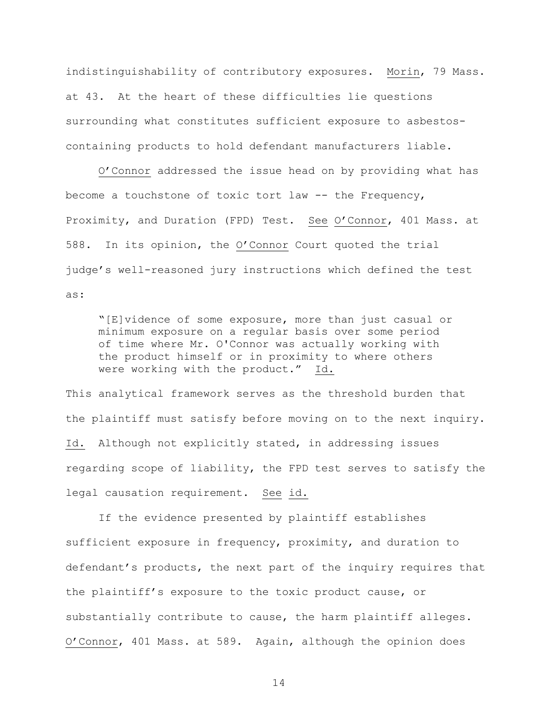indistinguishability of contributory exposures. Morin, 79 Mass. at 43. At the heart of these difficulties lie questions surrounding what constitutes sufficient exposure to asbestoscontaining products to hold defendant manufacturers liable.

O'Connor addressed the issue head on by providing what has become a touchstone of toxic tort law -- the Frequency, Proximity, and Duration (FPD) Test. See O'Connor, 401 Mass. at 588. In its opinion, the O'Connor Court quoted the trial judge's well-reasoned jury instructions which defined the test as:

"[E]vidence of some exposure, more than just casual or minimum exposure on a regular basis over some period of time where Mr. O'Connor was actually working with the product himself or in proximity to where others were working with the product." Id.

This analytical framework serves as the threshold burden that the plaintiff must satisfy before moving on to the next inquiry. Id. Although not explicitly stated, in addressing issues regarding scope of liability, the FPD test serves to satisfy the legal causation requirement. See id.

If the evidence presented by plaintiff establishes sufficient exposure in frequency, proximity, and duration to defendant's products, the next part of the inquiry requires that the plaintiff's exposure to the toxic product cause, or substantially contribute to cause, the harm plaintiff alleges. O'Connor, 401 Mass. at 589. Again, although the opinion does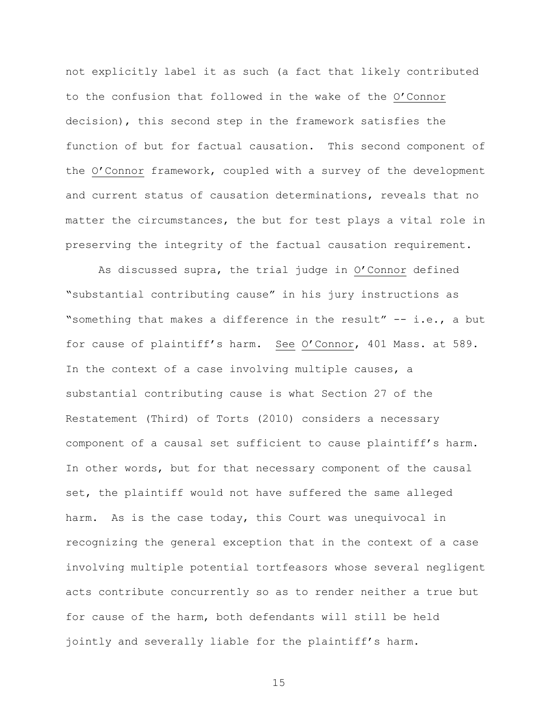not explicitly label it as such (a fact that likely contributed to the confusion that followed in the wake of the O'Connor decision), this second step in the framework satisfies the function of but for factual causation. This second component of the O'Connor framework, coupled with a survey of the development and current status of causation determinations, reveals that no matter the circumstances, the but for test plays a vital role in preserving the integrity of the factual causation requirement.

As discussed supra, the trial judge in O'Connor defined "substantial contributing cause" in his jury instructions as "something that makes a difference in the result" -- i.e., a but for cause of plaintiff's harm. See O'Connor, 401 Mass. at 589. In the context of a case involving multiple causes, a substantial contributing cause is what Section 27 of the Restatement (Third) of Torts (2010) considers a necessary component of a causal set sufficient to cause plaintiff's harm. In other words, but for that necessary component of the causal set, the plaintiff would not have suffered the same alleged harm. As is the case today, this Court was unequivocal in recognizing the general exception that in the context of a case involving multiple potential tortfeasors whose several negligent acts contribute concurrently so as to render neither a true but for cause of the harm, both defendants will still be held jointly and severally liable for the plaintiff's harm.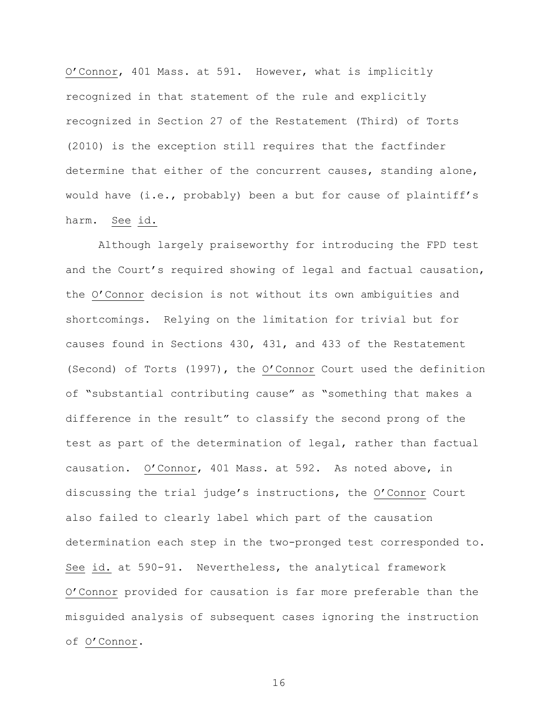O'Connor, 401 Mass. at 591. However, what is implicitly recognized in that statement of the rule and explicitly recognized in Section 27 of the Restatement (Third) of Torts  $(2010)$  is the exception still requires that the factfinder determine that either of the concurrent causes, standing alone, would have (i.e., probably) been a but for cause of plaintiff's harm. See id.

Although largely praiseworthy for introducing the FPD test and the Court's required showing of legal and factual causation, the O'Connor decision is not without its own ambiguities and shortcomings. Relying on the limitation for trivial but for causes found in Sections  $430$ ,  $431$ , and  $433$  of the Restatement (Second) of Torts (1997), the O'Connor Court used the definition of "substantial contributing cause" as "something that makes a difference in the result" to classify the second prong of the test as part of the determination of legal, rather than factual causation. O'Connor, 401 Mass. at 592. As noted above, in discussing the trial judge's instructions, the O'Connor Court also failed to clearly label which part of the causation determination each step in the two-pronged test corresponded to. See id. at 590-91. Nevertheless, the analytical framework O'Connor provided for causation is far more preferable than the misquided analysis of subsequent cases ignoring the instruction of O'Connor.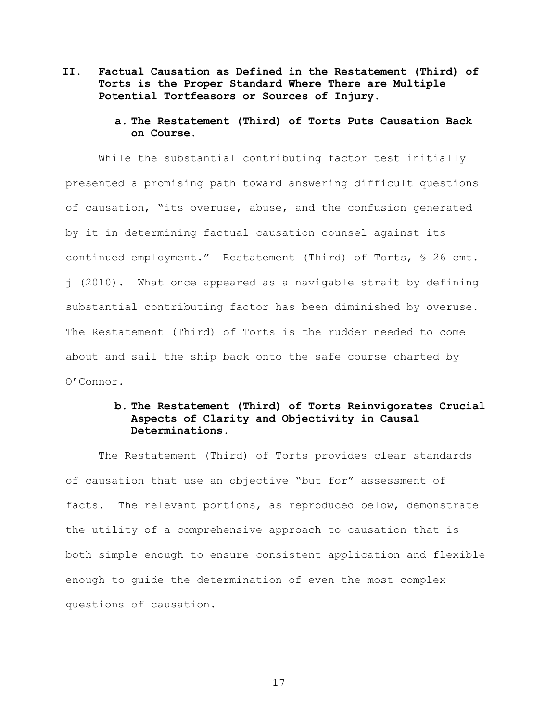- II. Factual Causation as Defined in the Restatement (Third) of Torts is the Proper Standard Where There are Multiple Potential Tortfeasors or Sources of Injury.
	- a. The Restatement (Third) of Torts Puts Causation Back on Course.

While the substantial contributing factor test initially presented a promising path toward answering difficult questions of causation, "its overuse, abuse, and the confusion generated by it in determining factual causation counsel against its continued employment." Restatement (Third) of Torts, § 26 cmt. j (2010). What once appeared as a navigable strait by defining substantial contributing factor has been diminished by overuse. The Restatement (Third) of Torts is the rudder needed to come about and sail the ship back onto the safe course charted by O'Connor.

## b. The Restatement (Third) of Torts Reinvigorates Crucial Aspects of Clarity and Objectivity in Causal Determinations.

The Restatement (Third) of Torts provides clear standards of causation that use an objective "but for" assessment of facts. The relevant portions, as reproduced below, demonstrate the utility of a comprehensive approach to causation that is both simple enough to ensure consistent application and flexible enough to guide the determination of even the most complex questions of causation.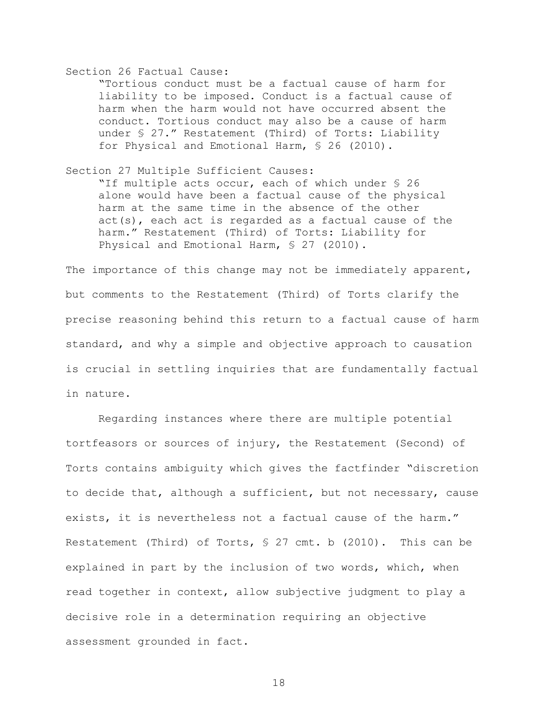#### Section 26 Factual Cause:

"Tortious conduct must be a factual cause of harm for liability to be imposed. Conduct is a factual cause of harm when the harm would not have occurred absent the conduct. Tortious conduct may also be a cause of harm under § 27." Restatement (Third) of Torts: Liability for Physical and Emotional Harm, § 26 (2010).

Section 27 Multiple Sufficient Causes:

"If multiple acts occur, each of which under § 26 alone would have been a factual cause of the physical harm at the same time in the absence of the other act(s), each act is regarded as a factual cause of the harm." Restatement (Third) of Torts: Liability for Physical and Emotional Harm, § 27 (2010).

The importance of this change may not be immediately apparent, but comments to the Restatement (Third) of Torts clarify the precise reasoning behind this return to a factual cause of harm standard, and why a simple and objective approach to causation is crucial in settling inquiries that are fundamentally factual in nature.

Regarding instances where there are multiple potential tortfeasors or sources of injury, the Restatement (Second) of Torts contains ambiquity which gives the factfinder "discretion to decide that, although a sufficient, but not necessary, cause exists, it is nevertheless not a factual cause of the harm." Restatement (Third) of Torts, § 27 cmt. b (2010). This can be explained in part by the inclusion of two words, which, when read together in context, allow subjective judgment to play a decisive role in a determination requiring an objective assessment grounded in fact.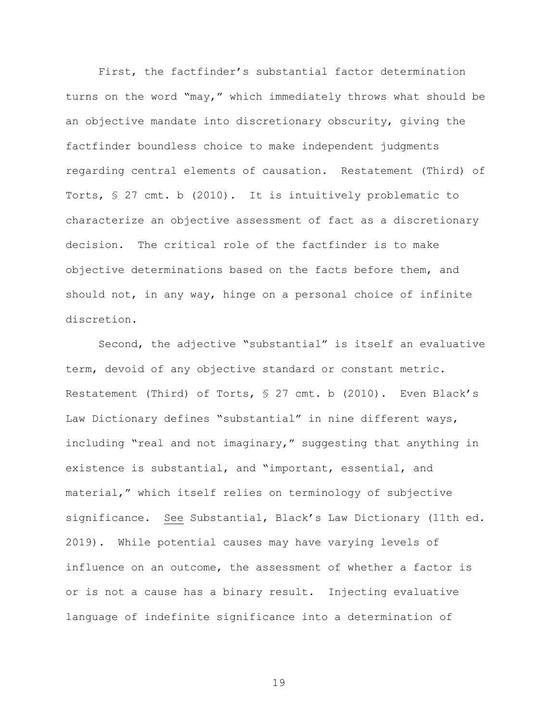First, the factfinder's substantial factor determination turns on the word "may," which immediately throws what should be an objective mandate into discretionary obscurity, giving the factfinder boundless choice to make independent judgments regarding central elements of causation. Restatement (Third) of Torts,  $S$  27 cmt. b (2010). It is intuitively problematic to characterize an objective assessment of fact as a discretionary decision. The critical role of the factfinder is to make objective determinations based on the facts before them, and should not, in any way, hinge on a personal choice of infinite discretion.

Second, the adjective "substantial" is itself an evaluative term, devoid of any objective standard or constant metric. Restatement (Third) of Torts, § 27 cmt. b (2010). Even Black's Law Dictionary defines "substantial" in nine different ways, including "real and not imaginary," suggesting that anything in existence is substantial, and "important, essential, and material," which itself relies on terminology of subjective significance. See Substantial, Black's Law Dictionary (11th ed. 2019). While potential causes may have varying levels of influence on an outcome, the assessment of whether a factor is or is not a cause has a binary result. Injecting evaluative language of indefinite significance into a determination of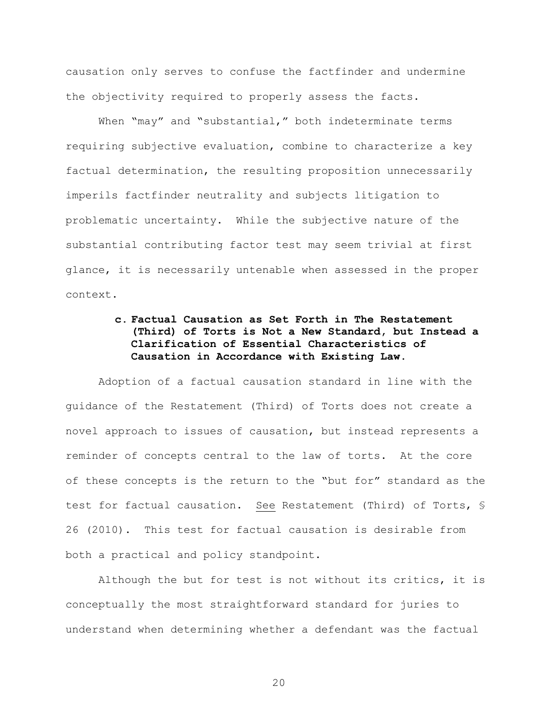causation only serves to confuse the factfinder and undermine the objectivity required to properly assess the facts.

When "may" and "substantial," both indeterminate terms requiring subjective evaluation, combine to characterize a key factual determination, the resulting proposition unnecessarily imperils factfinder neutrality and subjects litigation to problematic uncertainty. While the subjective nature of the substantial contributing factor test may seem trivial at first glance, it is necessarily untenable when assessed in the proper context.

# c. Factual Causation as Set Forth in The Restatement (Third) of Torts is Not a New Standard, but Instead a Clarification of Essential Characteristics of Causation in Accordance with Existing Law.

Adoption of a factual causation standard in line with the quidance of the Restatement (Third) of Torts does not create a novel approach to issues of causation, but instead represents a reminder of concepts central to the law of torts. At the core of these concepts is the return to the "but for" standard as the test for factual causation. See Restatement (Third) of Torts, § 26 (2010). This test for factual causation is desirable from both a practical and policy standpoint.

Although the but for test is not without its critics, it is conceptually the most straightforward standard for juries to understand when determining whether a defendant was the factual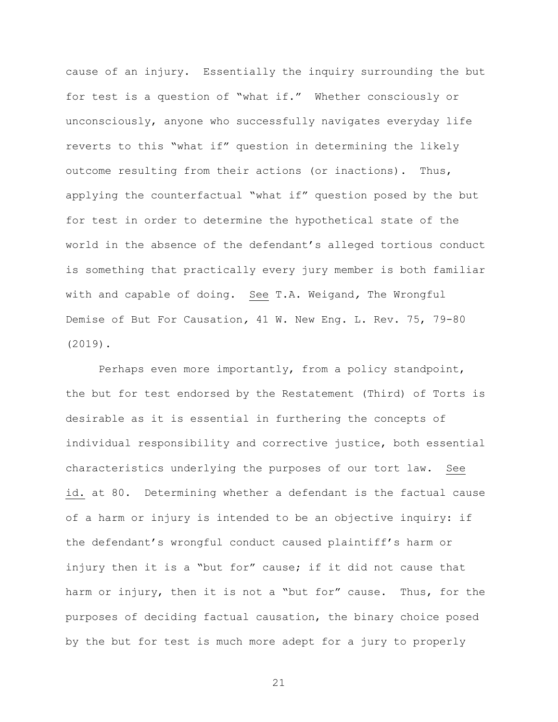cause of an injury. Essentially the inquiry surrounding the but for test is a question of "what if." Whether consciously or unconsciously, anyone who successfully navigates everyday life reverts to this "what if" question in determining the likely outcome resulting from their actions (or inactions). Thus, applying the counterfactual "what if" question posed by the but for test in order to determine the hypothetical state of the world in the absence of the defendant's alleged tortious conduct is something that practically every jury member is both familiar with and capable of doing. See T.A. Weigand, The Wrongful Demise of But For Causation, 41 W. New Eng. L. Rev. 75, 79-80  $(2019)$ .

Perhaps even more importantly, from a policy standpoint, the but for test endorsed by the Restatement (Third) of Torts is desirable as it is essential in furthering the concepts of individual responsibility and corrective justice, both essential characteristics underlying the purposes of our tort law. See id. at 80. Determining whether a defendant is the factual cause of a harm or injury is intended to be an objective inquiry: if the defendant's wrongful conduct caused plaintiff's harm or injury then it is a "but for" cause; if it did not cause that harm or injury, then it is not a "but for" cause. Thus, for the purposes of deciding factual causation, the binary choice posed by the but for test is much more adept for a jury to properly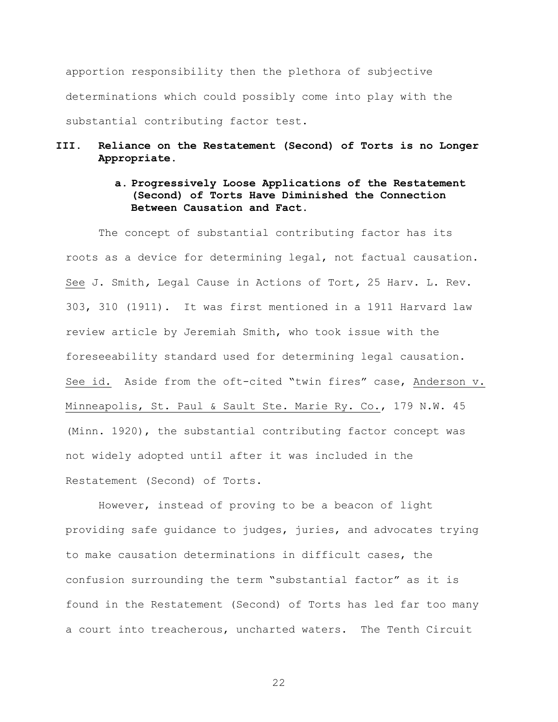apportion responsibility then the plethora of subjective determinations which could possibly come into play with the substantial contributing factor test.

#### Reliance on the Restatement (Second) of Torts is no Longer III. Appropriate.

# a. Progressively Loose Applications of the Restatement (Second) of Torts Have Diminished the Connection Between Causation and Fact.

The concept of substantial contributing factor has its roots as a device for determining legal, not factual causation. See J. Smith, Legal Cause in Actions of Tort, 25 Harv. L. Rev. 303, 310 (1911). It was first mentioned in a 1911 Harvard law review article by Jeremiah Smith, who took issue with the foreseeability standard used for determining legal causation. See id. Aside from the oft-cited "twin fires" case, Anderson v. Minneapolis, St. Paul & Sault Ste. Marie Ry. Co., 179 N.W. 45 (Minn. 1920), the substantial contributing factor concept was not widely adopted until after it was included in the Restatement (Second) of Torts.

However, instead of proving to be a beacon of light providing safe quidance to judges, juries, and advocates trying to make causation determinations in difficult cases, the confusion surrounding the term "substantial factor" as it is found in the Restatement (Second) of Torts has led far too many a court into treacherous, uncharted waters. The Tenth Circuit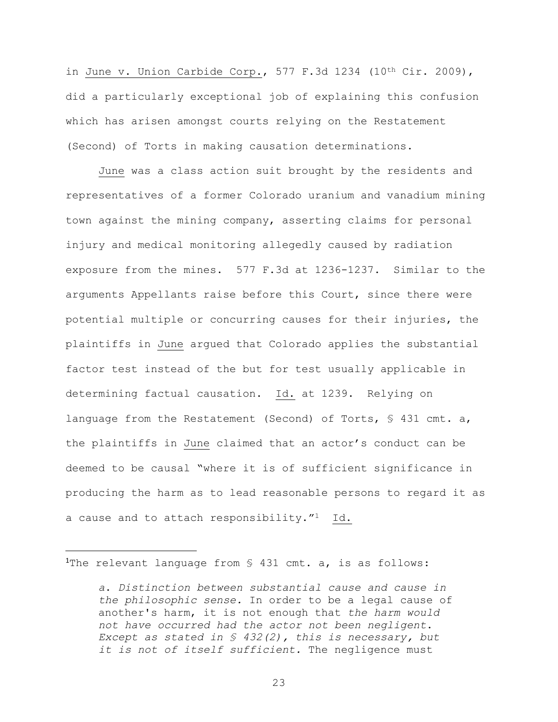in June v. Union Carbide Corp., 577 F.3d 1234 (10th Cir. 2009), did a particularly exceptional job of explaining this confusion which has arisen amongst courts relying on the Restatement (Second) of Torts in making causation determinations.

June was a class action suit brought by the residents and representatives of a former Colorado uranium and vanadium mining town against the mining company, asserting claims for personal injury and medical monitoring allegedly caused by radiation exposure from the mines. 577 F.3d at 1236-1237. Similar to the arguments Appellants raise before this Court, since there were potential multiple or concurring causes for their injuries, the plaintiffs in June argued that Colorado applies the substantial factor test instead of the but for test usually applicable in determining factual causation. Id. at 1239. Relying on language from the Restatement (Second) of Torts, § 431 cmt. a, the plaintiffs in June claimed that an actor's conduct can be deemed to be causal "where it is of sufficient significance in producing the harm as to lead reasonable persons to regard it as a cause and to attach responsibility."<sup>1</sup> Id.

<sup>1</sup>The relevant language from  $\frac{1}{2}$  431 cmt. a, is as follows:

a. Distinction between substantial cause and cause in the philosophic sense. In order to be a legal cause of another's harm, it is not enough that the harm would not have occurred had the actor not been negligent. Except as stated in  $S$  432(2), this is necessary, but it is not of itself sufficient. The negligence must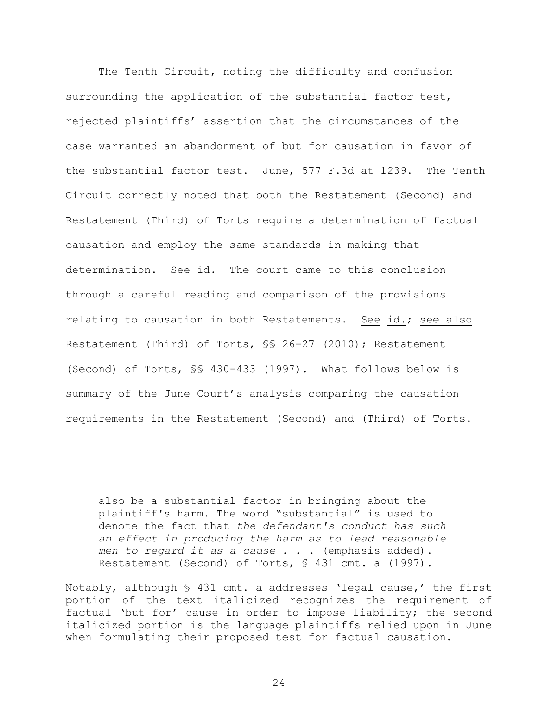The Tenth Circuit, noting the difficulty and confusion surrounding the application of the substantial factor test, rejected plaintiffs' assertion that the circumstances of the case warranted an abandonment of but for causation in favor of the substantial factor test. June, 577 F.3d at 1239. The Tenth Circuit correctly noted that both the Restatement (Second) and Restatement (Third) of Torts require a determination of factual causation and employ the same standards in making that determination. See id. The court came to this conclusion through a careful reading and comparison of the provisions relating to causation in both Restatements. See id.; see also Restatement (Third) of Torts, §§ 26-27 (2010); Restatement (Second) of Torts, \$\$ 430-433 (1997). What follows below is summary of the June Court's analysis comparing the causation requirements in the Restatement (Second) and (Third) of Torts.

also be a substantial factor in bringing about the plaintiff's harm. The word "substantial" is used to denote the fact that the defendant's conduct has such an effect in producing the harm as to lead reasonable men to regard it as a cause . . . (emphasis added). Restatement (Second) of Torts, § 431 cmt. a (1997).

Notably, although § 431 cmt. a addresses 'legal cause,' the first portion of the text italicized recognizes the requirement of factual 'but for' cause in order to impose liability; the second italicized portion is the language plaintiffs relied upon in June when formulating their proposed test for factual causation.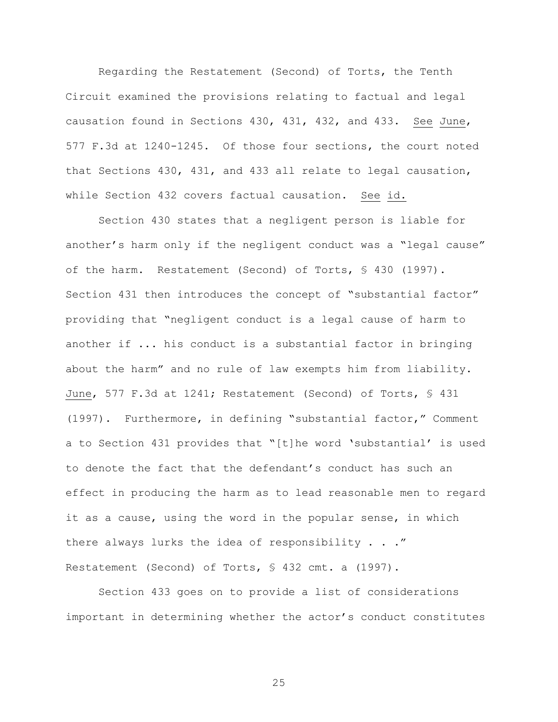Regarding the Restatement (Second) of Torts, the Tenth Circuit examined the provisions relating to factual and legal causation found in Sections 430, 431, 432, and 433. See June, 577 F.3d at 1240-1245. Of those four sections, the court noted that Sections 430, 431, and 433 all relate to legal causation, while Section 432 covers factual causation. See id.

Section 430 states that a negligent person is liable for another's harm only if the negligent conduct was a "legal cause" of the harm. Restatement (Second) of Torts, § 430 (1997). Section 431 then introduces the concept of "substantial factor" providing that "negligent conduct is a legal cause of harm to another if ... his conduct is a substantial factor in bringing about the harm" and no rule of law exempts him from liability. June, 577 F.3d at 1241; Restatement (Second) of Torts, § 431 (1997). Furthermore, in defining "substantial factor," Comment a to Section 431 provides that "[t]he word 'substantial' is used to denote the fact that the defendant's conduct has such an effect in producing the harm as to lead reasonable men to regard it as a cause, using the word in the popular sense, in which there always lurks the idea of responsibility  $\ldots$  ." Restatement (Second) of Torts, § 432 cmt. a (1997).

Section 433 goes on to provide a list of considerations important in determining whether the actor's conduct constitutes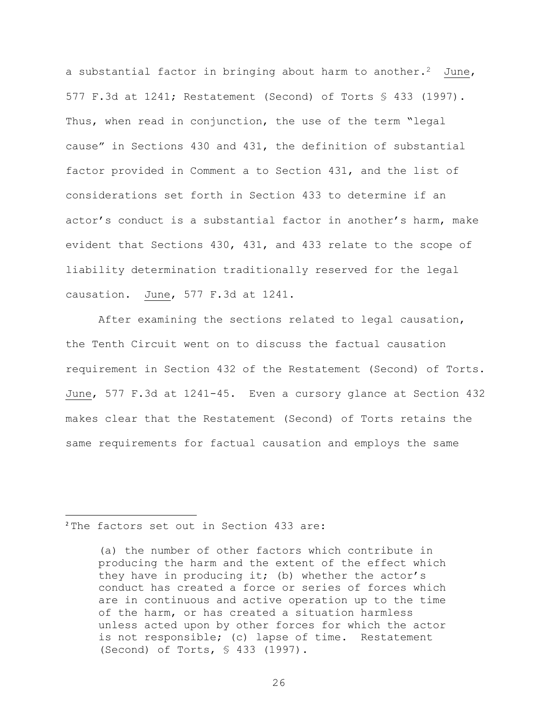a substantial factor in bringing about harm to another.<sup>2</sup> June, 577 F.3d at  $1241$ ; Restatement (Second) of Torts § 433 (1997). Thus, when read in conjunction, the use of the term "legal cause" in Sections 430 and 431, the definition of substantial factor provided in Comment a to Section 431, and the list of considerations set forth in Section 433 to determine if an actor's conduct is a substantial factor in another's harm, make evident that Sections  $430$ ,  $431$ , and  $433$  relate to the scope of liability determination traditionally reserved for the legal causation. June, 577 F.3d at 1241.

After examining the sections related to legal causation, the Tenth Circuit went on to discuss the factual causation requirement in Section 432 of the Restatement (Second) of Torts. June, 577 F.3d at 1241-45. Even a cursory glance at Section 432 makes clear that the Restatement (Second) of Torts retains the same requirements for factual causation and employs the same

### <sup>2</sup>The factors set out in Section 433 are:

<sup>(</sup>a) the number of other factors which contribute in producing the harm and the extent of the effect which they have in producing it; (b) whether the actor's conduct has created a force or series of forces which are in continuous and active operation up to the time of the harm, or has created a situation harmless unless acted upon by other forces for which the actor is not responsible; (c) lapse of time. Restatement (Second) of Torts, § 433 (1997).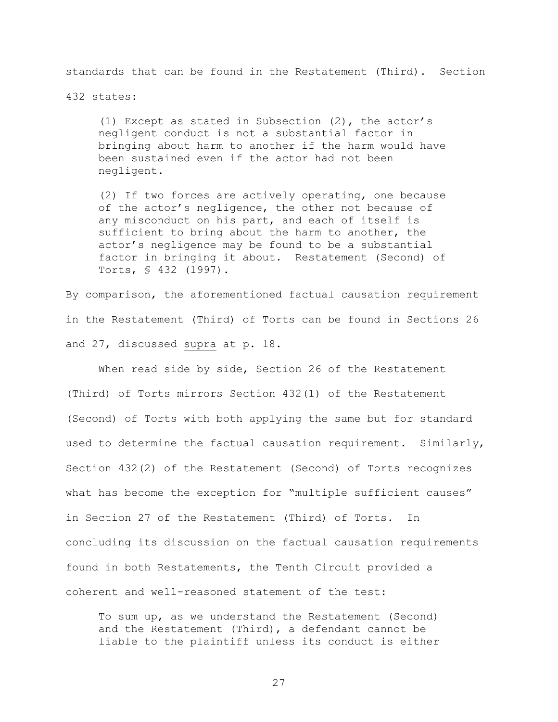standards that can be found in the Restatement (Third). Section

432 states:

(1) Except as stated in Subsection  $(2)$ , the actor's negligent conduct is not a substantial factor in bringing about harm to another if the harm would have been sustained even if the actor had not been negligent.

(2) If two forces are actively operating, one because of the actor's negligence, the other not because of any misconduct on his part, and each of itself is sufficient to bring about the harm to another, the actor's negligence may be found to be a substantial factor in bringing it about. Restatement (Second) of Torts, § 432 (1997).

By comparison, the aforementioned factual causation requirement in the Restatement (Third) of Torts can be found in Sections 26 and 27, discussed supra at p. 18.

When read side by side, Section 26 of the Restatement (Third) of Torts mirrors Section  $432(1)$  of the Restatement (Second) of Torts with both applying the same but for standard used to determine the factual causation requirement. Similarly, Section  $432(2)$  of the Restatement (Second) of Torts recognizes what has become the exception for "multiple sufficient causes" in Section 27 of the Restatement (Third) of Torts. In concluding its discussion on the factual causation requirements found in both Restatements, the Tenth Circuit provided a coherent and well-reasoned statement of the test:

To sum up, as we understand the Restatement (Second) and the Restatement (Third), a defendant cannot be liable to the plaintiff unless its conduct is either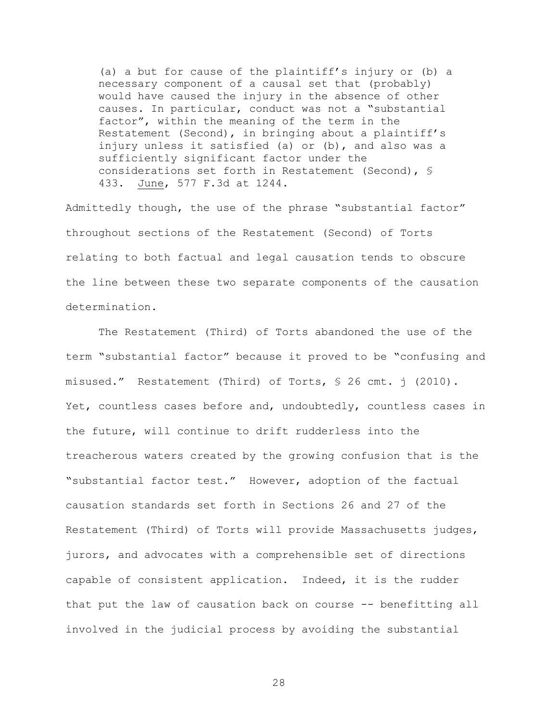(a) a but for cause of the plaintiff's injury or (b) a necessary component of a causal set that (probably) would have caused the injury in the absence of other causes. In particular, conduct was not a "substantial factor", within the meaning of the term in the Restatement (Second), in bringing about a plaintiff's injury unless it satisfied (a) or (b), and also was a sufficiently significant factor under the considerations set forth in Restatement (Second), § 433. June, 577 F.3d at 1244.

Admittedly though, the use of the phrase "substantial factor" throughout sections of the Restatement (Second) of Torts relating to both factual and legal causation tends to obscure the line between these two separate components of the causation determination.

The Restatement (Third) of Torts abandoned the use of the term "substantial factor" because it proved to be "confusing and misused." Restatement (Third) of Torts, § 26 cmt. j (2010). Yet, countless cases before and, undoubtedly, countless cases in the future, will continue to drift rudderless into the treacherous waters created by the growing confusion that is the "substantial factor test." However, adoption of the factual causation standards set forth in Sections 26 and 27 of the Restatement (Third) of Torts will provide Massachusetts judges, jurors, and advocates with a comprehensible set of directions capable of consistent application. Indeed, it is the rudder that put the law of causation back on course -- benefitting all involved in the judicial process by avoiding the substantial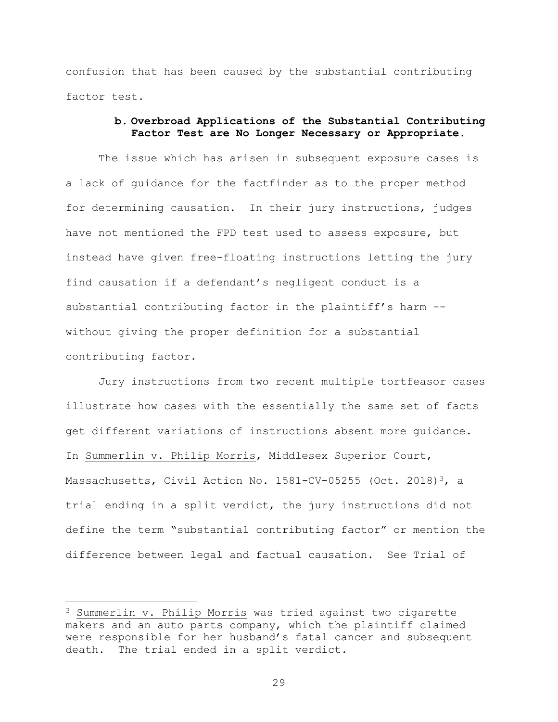confusion that has been caused by the substantial contributing factor test.

## b. Overbroad Applications of the Substantial Contributing Factor Test are No Longer Necessary or Appropriate.

The issue which has arisen in subsequent exposure cases is a lack of guidance for the factfinder as to the proper method for determining causation. In their jury instructions, judges have not mentioned the FPD test used to assess exposure, but instead have given free-floating instructions letting the jury find causation if a defendant's negligent conduct is a substantial contributing factor in the plaintiff's harm -without giving the proper definition for a substantial contributing factor.

Jury instructions from two recent multiple tortfeasor cases illustrate how cases with the essentially the same set of facts get different variations of instructions absent more guidance. In Summerlin v. Philip Morris, Middlesex Superior Court, Massachusetts, Civil Action No. 1581-CV-05255 (Oct. 2018)<sup>3</sup>, a trial ending in a split verdict, the jury instructions did not define the term "substantial contributing factor" or mention the difference between legal and factual causation. See Trial of

<sup>&</sup>lt;sup>3</sup> Summerlin v. Philip Morris was tried against two cigarette makers and an auto parts company, which the plaintiff claimed were responsible for her husband's fatal cancer and subsequent death. The trial ended in a split verdict.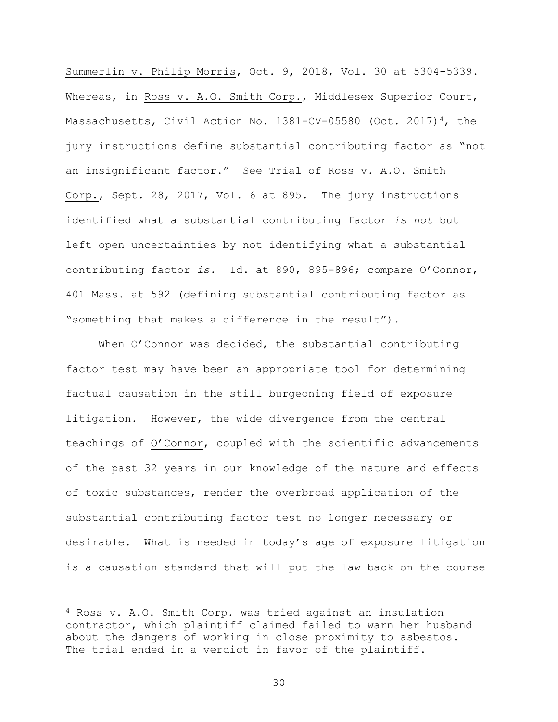Summerlin v. Philip Morris, Oct. 9, 2018, Vol. 30 at 5304-5339. Whereas, in Ross v. A.O. Smith Corp., Middlesex Superior Court, Massachusetts, Civil Action No. 1381-CV-05580 (Oct. 2017)<sup>4</sup>, the jury instructions define substantial contributing factor as "not an insignificant factor." See Trial of Ross v. A.O. Smith Corp., Sept. 28, 2017, Vol. 6 at 895. The jury instructions identified what a substantial contributing factor *is not* but left open uncertainties by not identifying what a substantial contributing factor *is*. Id. at 890, 895-896; compare O'Connor, 401 Mass. at 592 (defining substantial contributing factor as "something that makes a difference in the result").

When O'Connor was decided, the substantial contributing factor test may have been an appropriate tool for determining factual causation in the still burgeoning field of exposure litigation. However, the wide divergence from the central teachings of O'Connor, coupled with the scientific advancements of the past 32 years in our knowledge of the nature and effects of toxic substances, render the overbroad application of the substantial contributing factor test no longer necessary or desirable. What is needed in today's age of exposure litigation is a causation standard that will put the law back on the course

 $4$  Ross v. A.O. Smith Corp. was tried against an insulation contractor, which plaintiff claimed failed to warn her husband about the dangers of working in close proximity to asbestos. The trial ended in a verdict in favor of the plaintiff.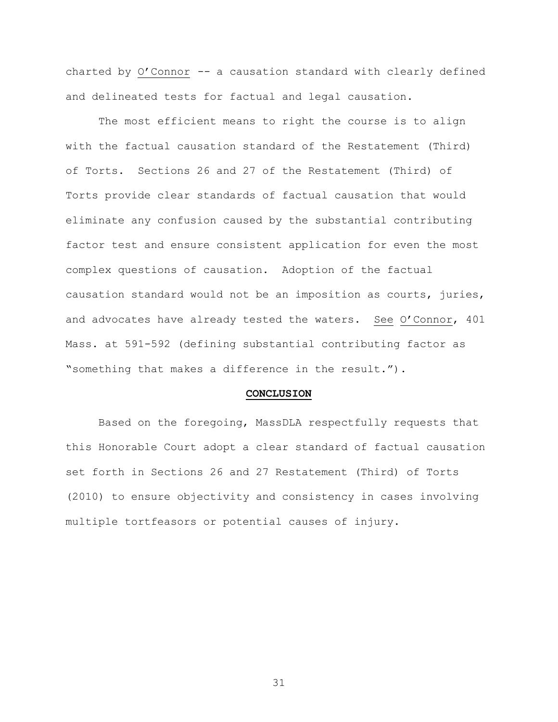charted by O'Connor -- a causation standard with clearly defined and delineated tests for factual and legal causation.

The most efficient means to right the course is to align with the factual causation standard of the Restatement (Third) of Torts. Sections 26 and 27 of the Restatement (Third) of Torts provide clear standards of factual causation that would eliminate any confusion caused by the substantial contributing factor test and ensure consistent application for even the most complex questions of causation. Adoption of the factual causation standard would not be an imposition as courts, juries, and advocates have already tested the waters. See O'Connor, 401 Mass. at 591-592 (defining substantial contributing factor as "something that makes a difference in the result.").

#### CONCLUSION

Based on the foregoing, MassDLA respectfully requests that this Honorable Court adopt a clear standard of factual causation set forth in Sections 26 and 27 Restatement (Third) of Torts (2010) to ensure objectivity and consistency in cases involving multiple tortfeasors or potential causes of injury.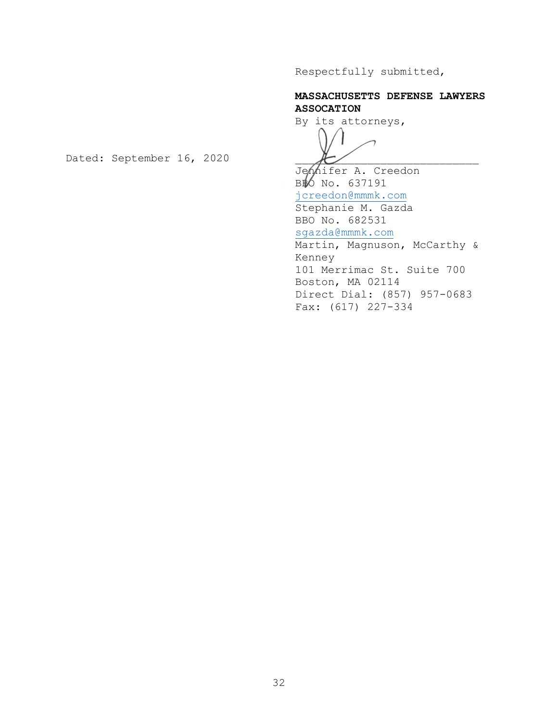Respectfully submitted,

# MASSACHUSETTS DEFENSE LAWYERS ASSOCATION

By its attorneys,

Jennifer A. Creedon BBO No. 637191 jcreedon@mmmk.com Stephanie M. Gazda BBO No. 682531 sgazda@mmmk.com Martin, Magnuson, McCarthy & Kenney 101 Merrimac St. Suite 700 Boston, MA 02114 Direct Dial: (857) 957-0683 Fax: (617) 227-334

Dated: September 16, 2020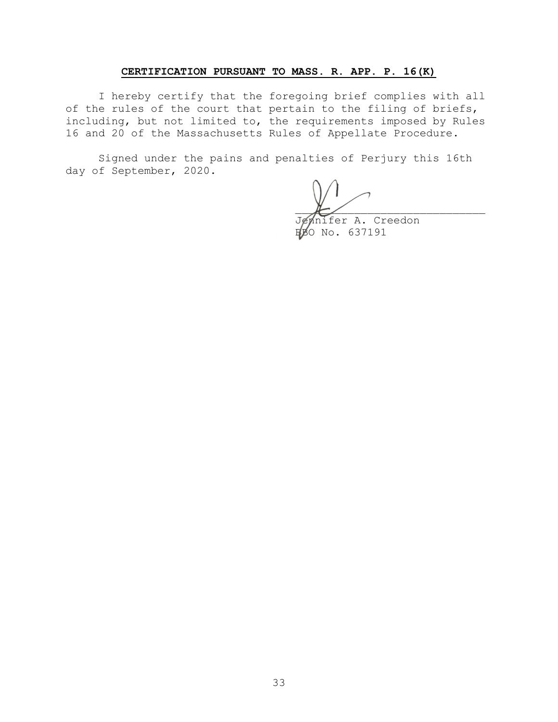### CERTIFICATION PURSUANT TO MASS. R. APP. P. 16(K)

I hereby certify that the foregoing brief complies with all of the rules of the court that pertain to the filing of briefs, including, but not limited to, the requirements imposed by Rules 16 and 20 of the Massachusetts Rules of Appellate Procedure.

Signed under the pains and penalties of Perjury this 16th day of September, 2020.

ennifer A. Creedon<br>BO No. 637191